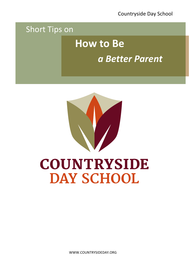Countryside Day School

## Short Tips on

# **How to Be** *a Better Parent*



# **COUNTRYSIDE DAY SCHOOL**

WWW.COUNTRYSIDEDAY.ORG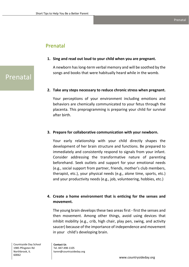**1. Sing and read out loud to your child when you are pregnant.**

A newborn has long-term verbal memory and will be soothed by the songs and books that were habitually heard while in the womb.

#### **2. Take any steps necessary to reduce chronic stress when pregnant.**

Your perceptions of your environment including emotions and behaviors are chemically communicated to your fetus through the placenta. This preprogramming is preparing your child for survival after birth.

#### **3. Prepare for collaborative communication with your newborn.**

Your early relationship with your child directly shapes the development of her brain structure and functions. Be prepared to immediately and consistently respond to signals from your infant. Consider addressing the transformative nature of parenting beforehand. Seek outlets and support for your emotional needs (e.g., social support from partner, friends, mother's club members, therapist, etc.), your physical needs (e.g., alone time, sports, etc.) and your productivity needs (e.g., job, volunteering, hobbies, etc.)

#### **4. Create a home environment that is enticing for the senses and movement.**

The young brain develops these two areas first - first the senses and then movement. Among other things, avoid using devices that inhibit mobility (e.g., crib, high chair, play pen, swing, and activity saucer) because of the importance of independence and movement in your child's developing brain.

Prenatal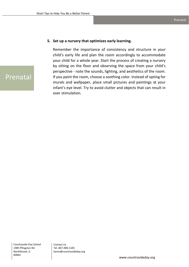#### **5. Set up a nursery that optimizes early learning.**

Remember the importance of consistency and structure in your child's early life and plan the room accordingly to accommodate your child for a whole year. Start the process of creating a nursery by sitting on the floor and observing the space from your child's perspective - note the sounds, lighting, and aesthetics of the room. If you paint the room, choose a soothing color. Instead of opting for murals and wallpaper, place small pictures and paintings at your infant's eye level. Try to avoid clutter and objects that can result in over stimulation.

## Prenatal

Countryside Day School 1985 Pfingsten Rd Northbrook, IL 60062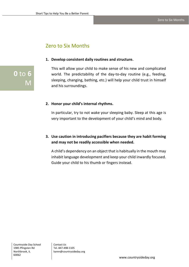### Zero to Six Months

#### **1. Develop consistent daily routines and structure.**

This will allow your child to make sense of his new and complicated world. The predictability of the day-to-day routine (e.g., feeding, sleeping, changing, bathing, etc.) will help your child trust in himself and his surroundings.

#### **2. Honor your child's internal rhythms.**

In particular, try to not wake your sleeping baby. Sleep at this age is very important to the development of your child's mind and body.

#### **3. Use caution in introducing pacifiers because they are habit forming and may not be readily accessible when needed.**

A child's dependency on an object that is habitually in the mouth may inhabit language development and keep your child inwardly focused. Guide your child to his thumb or fingers instead.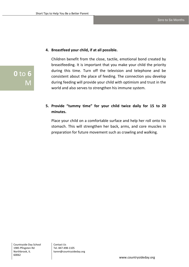#### **4. Breastfeed your child, if at all possible.**

Children benefit from the close, tactile, emotional bond created by breastfeeding. It is important that you make your child the priority during this time. Turn off the television and telephone and be consistent about the place of feeding. The connection you develop during feeding will provide your child with optimism and trust in the world and also serves to strengthen his immune system.

#### **5. Provide "tummy time" for your child twice daily for 15 to 20 minutes.**

Place your child on a comfortable surface and help her roll onto his stomach. This will strengthen her back, arms, and core muscles in preparation for future movement such as crawling and walking.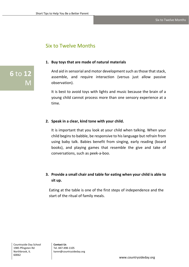### Six to Twelve Months

#### **1. Buy toys that are made of natural materials**

And aid in sensorial and motor development such as those that stack, assemble, and require interaction (versus just allow passive observation).

It is best to avoid toys with lights and music because the brain of a young child cannot process more than one sensory experience at a time.

#### **2. Speak in a clear, kind tone with your child.**

It is important that you look at your child when talking. When your child begins to babble, be responsive to his language but refrain from using baby talk. Babies benefit from singing, early reading (board books), and playing games that resemble the give and take of conversations, such as peek-a-boo.

#### **3. Provide a small chair and table for eating when your child is able to sit up.**

Eating at the table is one of the first steps of independence and the start of the ritual of family meals.

**6** to **12**

M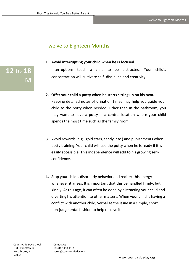## Twelve to Eighteen Months

**1. Avoid interrupting your child when he is focused.** Interruptions teach a child to be distracted. Your child's

concentration will cultivate self- discipline and creativity.

- **2. Offer your child a potty when he starts sitting up on his own.** Keeping detailed notes of urination times may help you guide your child to the potty when needed. Other than in the bathroom, you may want to have a potty in a central location where your child spends the most time such as the family room.
- **3.** Avoid rewards (e.g., gold stars, candy, etc.) and punishments when potty training. Your child will use the potty when he is ready if it is easily accessible. This independence will add to his growing selfconfidence.
- **4.** Stop your child's disorderly behavior and redirect his energy whenever it arises. It is important that this be handled firmly, but kindly. At this age, it can often be done by distracting your child and diverting his attention to other matters. When your child is having a conflict with another child, verbalize the issue in a simple, short, non-judgmental fashion to help resolve it.

Countryside Day School 1985 Pfingsten Rd Northbrook, IL 60062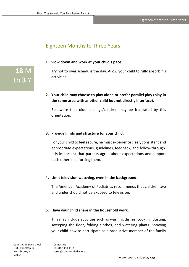## Eighteen Months to Three Years

**1. Slow down and work at your child's pace.**

Try not to over schedule the day. Allow your child to fully absorb his activities.

**2. Your child may choose to play alone or prefer parallel play (play in the same area with another child but not directly interface).**

Be aware that older siblings/children may be frustrated by this orientation.

#### **3. Provide limits and structure for your child.**

For your child to feel secure, he must experience clear, consistent and appropriate expectations, guidelines, feedback, and follow-through. It is important that parents agree about expectations and support each other in enforcing them.

#### **4. Limit television watching, even in the background.**

The American Academy of Pediatrics recommends that children two and under should not be exposed to television.

#### **5. Have your child share in the household work.**

This may include activities such as washing dishes, cooking, dusting, sweeping the floor, folding clothes, and watering plants. Showing your child how to participate as a productive member of the family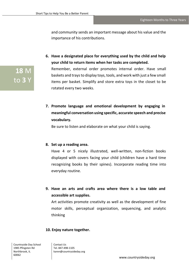and community sends an important message about his value and the importance of his contributions.

- **6. Have a designated place for everything used by the child and help your child to return items when her tasks are completed.** Remember, external order promotes internal order. Have small baskets and traysto display toys, tools, and work with just a few small items per basket. Simplify and store extra toys in the closet to be rotated every two weeks.
- **7. Promote language and emotional development by engaging in meaningful conversation using specific, accurate speech and precise vocabulary.**

Be sure to listen and elaborate on what your child is saying.

#### **8. Set up a reading area.**

Have 4 or 5 nicely illustrated, well-written, non-fiction books displayed with covers facing your child (children have a hard time recognizing books by their spines). Incorporate reading time into everyday routine.

**9. Have an arts and crafts area where there is a low table and accessible art supplies.**

Art activities promote creativity as well as the development of fine motor skills, perceptual organization, sequencing, and analytic thinking

#### **10. Enjoy nature together.**

Countryside Day School 1985 Pfingsten Rd Northbrook, IL 60062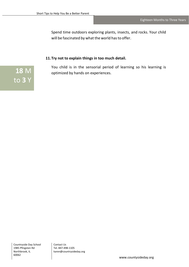Spend time outdoors exploring plants, insects, and rocks. Your child will be fascinated by what the world has to offer.

#### **11.Try not to explain things in too much detail.**

You child is in the sensorial period of learning so his learning is optimized by hands on experiences.

**18** M to **3** Y

Countryside Day School 1985 Pfingsten Rd Northbrook, IL 60062

Contact Us Tel. 847-498-1105 karen@countrysideday.org

www.countysideday.org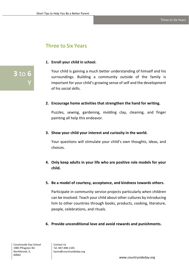## Three to Six Years

#### **1. Enroll your child in school.**

Your child is gaining a much better understanding of himself and his surroundings. Building a community outside of the family is important for your child's growing sense of self and the development of his social skills.

#### **2. Encourage home activities that strengthen the hand for writing.**

Puzzles, sewing, gardening, molding clay, cleaning, and finger painting all help this endeavor.

#### **3. Show your child your interest and curiosity in the world.**

Your questions will stimulate your child's own thoughts, ideas, and choices.

#### **4. Only keep adults in your life who are positive role models for your child.**

#### **5. Be a model of courtesy, acceptance, and kindness towards others.**

Participate in community service projects particularly when children can be involved. Teach your child about other cultures by introducing him to other countries through books, products, cooking, literature, people, celebrations, and rituals.

#### **6. Provide unconditional love and avoid rewards and punishments.**

**3** to **6** 

Y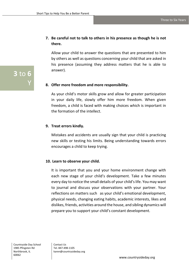#### **7. Be careful not to talk to others in his presence as though he is not there.**

Allow your child to answer the questions that are presented to him by others as well as questions concerning your child that are asked in his presence (assuming they address matters that he is able to answer).

#### **8. Offer more freedom and more responsibility.**

As your child's motor skills grow and allow for greater participation in your daily life, slowly offer him more freedom. When given freedom, a child is faced with making choices which is important in the formation of the intellect.

#### **9. Treat errors kindly.**

Mistakes and accidents are usually sign that your child is practicing new skills or testing his limits. Being understanding towards errors encourages a child to keep trying.

#### **10. Learn to observe your child.**

It is important that you and your home environment change with each new stage of your child's development. Take a few minutes every day to notice the small details of your child's life. You may want to journal and discuss your observations with your partner. Your reflections on matters such as your child's emotional development, physical needs, changing eating habits, academic interests, likes and dislikes, friends, activities around the house, and sibling dynamics will prepare you to support your child's constant development.

Countryside Day School 1985 Pfingsten Rd Northbrook, IL 60062

Contact Us Tel. 847-498-1105 karen@countrysideday.org

**3** to **6** 

Y

www.countrysideday.org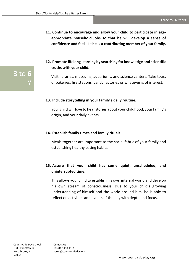- **11. Continue to encourage and allow your child to participate in ageappropriate household jobs so that he will develop a sense of confidence and feel like he is a contributing member of your family.**
- **12. Promote lifelong learning by searching for knowledge and scientific truths with your child.**

Visit libraries, museums, aquariums, and science centers. Take tours of bakeries, fire stations, candy factories or whatever is of interest.

#### **13. Include storytelling in your family's daily routine.**

Your child will love to hear stories about your childhood, your family's origin, and your daily events.

#### **14. Establish family times and family rituals.**

Meals together are important to the social fabric of your family and establishing healthy eating habits.

#### **15. Assure that your child has some quiet, unscheduled, and uninterrupted time.**

This allows your child to establish his own internal world and develop his own stream of consciousness. Due to your child's growing understanding of himself and the world around him, he is able to reflect on activities and events of the day with depth and focus.